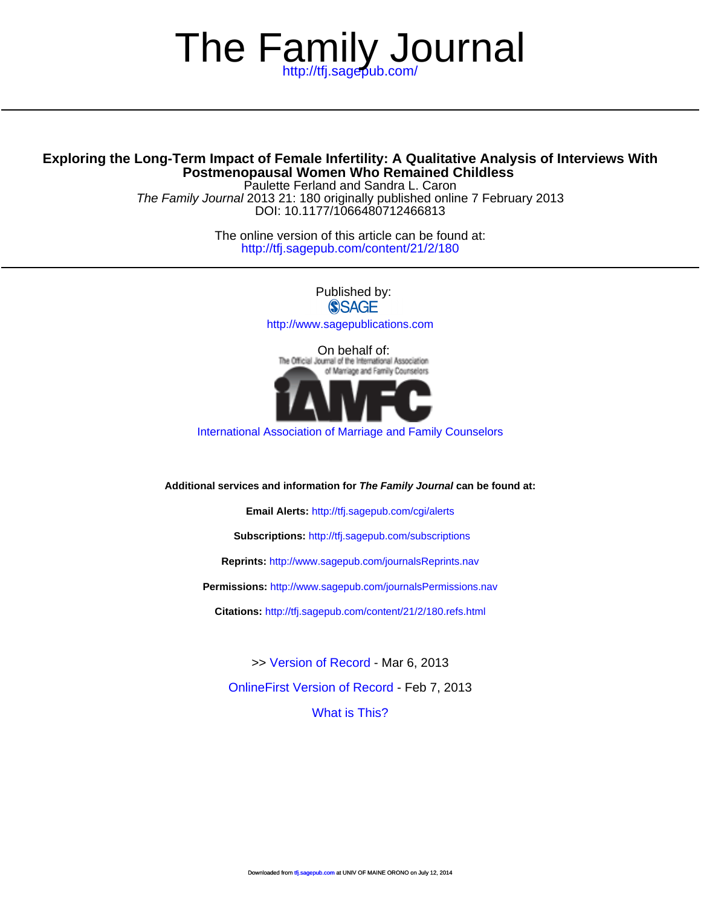# The Family Journal

# **Postmenopausal Women Who Remained Childless Exploring the Long-Term Impact of Female Infertility: A Qualitative Analysis of Interviews With**

DOI: 10.1177/1066480712466813 The Family Journal 2013 21: 180 originally published online 7 February 2013 Paulette Ferland and Sandra L. Caron

> <http://tfj.sagepub.com/content/21/2/180> The online version of this article can be found at:

> > Published by: **SSAGE** <http://www.sagepublications.com> On behalf of:<br>The Official Journal of the International Association of Marriage and Family Counselors



# [International Association of Marriage and Family Counselors](http://www.iamfconline.com/)

**Additional services and information for The Family Journal can be found at:**

**Email Alerts:** <http://tfj.sagepub.com/cgi/alerts>

**Subscriptions:** <http://tfj.sagepub.com/subscriptions>

**Reprints:** <http://www.sagepub.com/journalsReprints.nav>

**Permissions:** <http://www.sagepub.com/journalsPermissions.nav>

**Citations:** <http://tfj.sagepub.com/content/21/2/180.refs.html>

[What is This?](http://online.sagepub.com/site/sphelp/vorhelp.xhtml) [OnlineFirst Version of Record -](http://tfj.sagepub.com/content/early/2013/02/06/1066480712466813.full.pdf) Feb 7, 2013 >> [Version of Record -](http://tfj.sagepub.com/content/21/2/180.full.pdf) Mar 6, 2013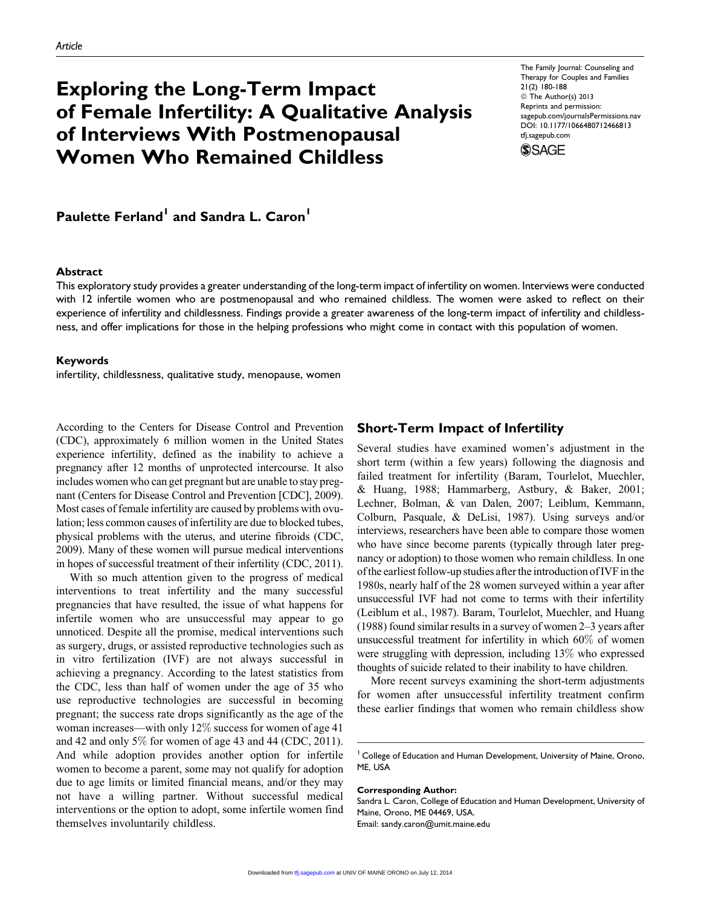# Exploring the Long-Term Impact of Female Infertility: A Qualitative Analysis of Interviews With Postmenopausal Women Who Remained Childless

The Family Journal: Counseling and Therapy for Couples and Families 21(2) 180-188 © The Author(s) 2013 Reprints and permission: [sagepub.com/journalsPermissions.nav](http://www.sagepub.com/journalsPermissions.nav) DOI: 10.1177/1066480712466813 [tfj.sagepub.com](http://tfj.sagepub.com)



Paulette Ferland<sup>1</sup> and Sandra L. Caron<sup>1</sup>

#### **Abstract**

This exploratory study provides a greater understanding of the long-term impact of infertility on women. Interviews were conducted with 12 infertile women who are postmenopausal and who remained childless. The women were asked to reflect on their experience of infertility and childlessness. Findings provide a greater awareness of the long-term impact of infertility and childlessness, and offer implications for those in the helping professions who might come in contact with this population of women.

#### Keywords

infertility, childlessness, qualitative study, menopause, women

According to the Centers for Disease Control and Prevention (CDC), approximately 6 million women in the United States experience infertility, defined as the inability to achieve a pregnancy after 12 months of unprotected intercourse. It also includes women who can get pregnant but are unable to stay pregnant (Centers for Disease Control and Prevention [CDC], 2009). Most cases of female infertility are caused by problems with ovulation; less common causes of infertility are due to blocked tubes, physical problems with the uterus, and uterine fibroids (CDC, 2009). Many of these women will pursue medical interventions in hopes of successful treatment of their infertility (CDC, 2011).

With so much attention given to the progress of medical interventions to treat infertility and the many successful pregnancies that have resulted, the issue of what happens for infertile women who are unsuccessful may appear to go unnoticed. Despite all the promise, medical interventions such as surgery, drugs, or assisted reproductive technologies such as in vitro fertilization (IVF) are not always successful in achieving a pregnancy. According to the latest statistics from the CDC, less than half of women under the age of 35 who use reproductive technologies are successful in becoming pregnant; the success rate drops significantly as the age of the woman increases—with only 12% success for women of age 41 and 42 and only 5% for women of age 43 and 44 (CDC, 2011). And while adoption provides another option for infertile women to become a parent, some may not qualify for adoption due to age limits or limited financial means, and/or they may not have a willing partner. Without successful medical interventions or the option to adopt, some infertile women find themselves involuntarily childless.

# Short-Term Impact of Infertility

Several studies have examined women's adjustment in the short term (within a few years) following the diagnosis and failed treatment for infertility (Baram, Tourlelot, Muechler, & Huang, 1988; Hammarberg, Astbury, & Baker, 2001; Lechner, Bolman, & van Dalen, 2007; Leiblum, Kemmann, Colburn, Pasquale, & DeLisi, 1987). Using surveys and/or interviews, researchers have been able to compare those women who have since become parents (typically through later pregnancy or adoption) to those women who remain childless. In one of the earliest follow-up studies after the introduction of IVF in the 1980s, nearly half of the 28 women surveyed within a year after unsuccessful IVF had not come to terms with their infertility (Leiblum et al., 1987). Baram, Tourlelot, Muechler, and Huang (1988) found similar results in a survey of women 2–3 years after unsuccessful treatment for infertility in which 60% of women were struggling with depression, including 13% who expressed thoughts of suicide related to their inability to have children.

More recent surveys examining the short-term adjustments for women after unsuccessful infertility treatment confirm these earlier findings that women who remain childless show

<sup>1</sup> College of Education and Human Development, University of Maine, Orono, ME, USA

#### Corresponding Author:

Sandra L. Caron, College of Education and Human Development, University of Maine, Orono, ME 04469, USA. Email: sandy.caron@umit.maine.edu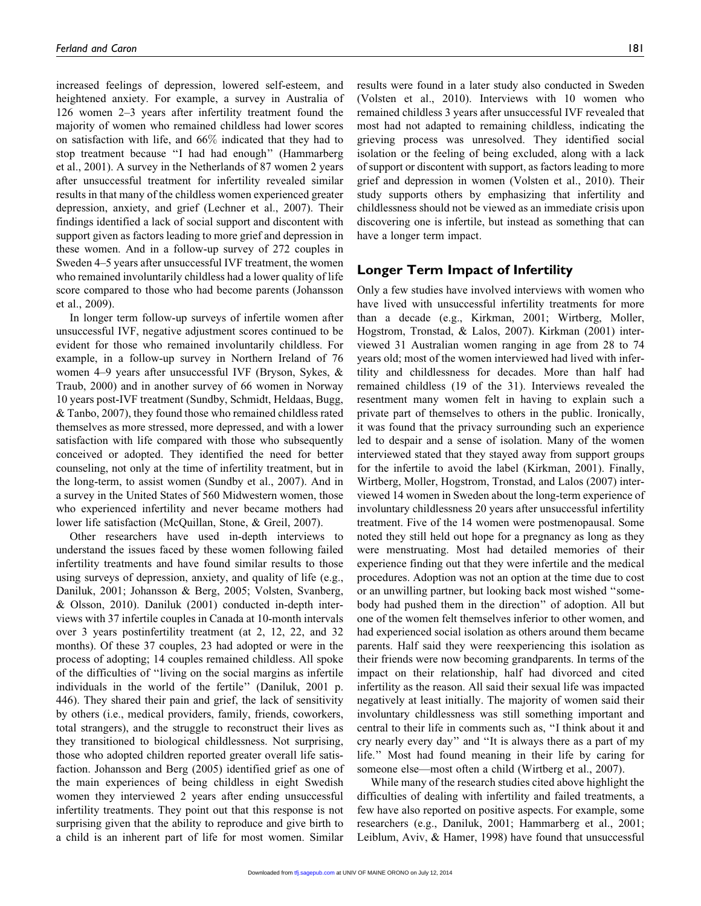increased feelings of depression, lowered self-esteem, and heightened anxiety. For example, a survey in Australia of 126 women 2–3 years after infertility treatment found the majority of women who remained childless had lower scores on satisfaction with life, and 66% indicated that they had to stop treatment because ''I had had enough'' (Hammarberg et al., 2001). A survey in the Netherlands of 87 women 2 years after unsuccessful treatment for infertility revealed similar results in that many of the childless women experienced greater depression, anxiety, and grief (Lechner et al., 2007). Their findings identified a lack of social support and discontent with support given as factors leading to more grief and depression in these women. And in a follow-up survey of 272 couples in Sweden 4–5 years after unsuccessful IVF treatment, the women who remained involuntarily childless had a lower quality of life score compared to those who had become parents (Johansson et al., 2009).

In longer term follow-up surveys of infertile women after unsuccessful IVF, negative adjustment scores continued to be evident for those who remained involuntarily childless. For example, in a follow-up survey in Northern Ireland of 76 women 4–9 years after unsuccessful IVF (Bryson, Sykes, & Traub, 2000) and in another survey of 66 women in Norway 10 years post-IVF treatment (Sundby, Schmidt, Heldaas, Bugg, & Tanbo, 2007), they found those who remained childless rated themselves as more stressed, more depressed, and with a lower satisfaction with life compared with those who subsequently conceived or adopted. They identified the need for better counseling, not only at the time of infertility treatment, but in the long-term, to assist women (Sundby et al., 2007). And in a survey in the United States of 560 Midwestern women, those who experienced infertility and never became mothers had lower life satisfaction (McQuillan, Stone, & Greil, 2007).

Other researchers have used in-depth interviews to understand the issues faced by these women following failed infertility treatments and have found similar results to those using surveys of depression, anxiety, and quality of life (e.g., Daniluk, 2001; Johansson & Berg, 2005; Volsten, Svanberg, & Olsson, 2010). Daniluk (2001) conducted in-depth interviews with 37 infertile couples in Canada at 10-month intervals over 3 years postinfertility treatment (at 2, 12, 22, and 32 months). Of these 37 couples, 23 had adopted or were in the process of adopting; 14 couples remained childless. All spoke of the difficulties of ''living on the social margins as infertile individuals in the world of the fertile'' (Daniluk, 2001 p. 446). They shared their pain and grief, the lack of sensitivity by others (i.e., medical providers, family, friends, coworkers, total strangers), and the struggle to reconstruct their lives as they transitioned to biological childlessness. Not surprising, those who adopted children reported greater overall life satisfaction. Johansson and Berg (2005) identified grief as one of the main experiences of being childless in eight Swedish women they interviewed 2 years after ending unsuccessful infertility treatments. They point out that this response is not surprising given that the ability to reproduce and give birth to a child is an inherent part of life for most women. Similar results were found in a later study also conducted in Sweden (Volsten et al., 2010). Interviews with 10 women who remained childless 3 years after unsuccessful IVF revealed that most had not adapted to remaining childless, indicating the grieving process was unresolved. They identified social isolation or the feeling of being excluded, along with a lack of support or discontent with support, as factors leading to more grief and depression in women (Volsten et al., 2010). Their study supports others by emphasizing that infertility and childlessness should not be viewed as an immediate crisis upon discovering one is infertile, but instead as something that can have a longer term impact.

# Longer Term Impact of Infertility

Only a few studies have involved interviews with women who have lived with unsuccessful infertility treatments for more than a decade (e.g., Kirkman, 2001; Wirtberg, Moller, Hogstrom, Tronstad, & Lalos, 2007). Kirkman (2001) interviewed 31 Australian women ranging in age from 28 to 74 years old; most of the women interviewed had lived with infertility and childlessness for decades. More than half had remained childless (19 of the 31). Interviews revealed the resentment many women felt in having to explain such a private part of themselves to others in the public. Ironically, it was found that the privacy surrounding such an experience led to despair and a sense of isolation. Many of the women interviewed stated that they stayed away from support groups for the infertile to avoid the label (Kirkman, 2001). Finally, Wirtberg, Moller, Hogstrom, Tronstad, and Lalos (2007) interviewed 14 women in Sweden about the long-term experience of involuntary childlessness 20 years after unsuccessful infertility treatment. Five of the 14 women were postmenopausal. Some noted they still held out hope for a pregnancy as long as they were menstruating. Most had detailed memories of their experience finding out that they were infertile and the medical procedures. Adoption was not an option at the time due to cost or an unwilling partner, but looking back most wished ''somebody had pushed them in the direction'' of adoption. All but one of the women felt themselves inferior to other women, and had experienced social isolation as others around them became parents. Half said they were reexperiencing this isolation as their friends were now becoming grandparents. In terms of the impact on their relationship, half had divorced and cited infertility as the reason. All said their sexual life was impacted negatively at least initially. The majority of women said their involuntary childlessness was still something important and central to their life in comments such as, ''I think about it and cry nearly every day'' and ''It is always there as a part of my life.'' Most had found meaning in their life by caring for someone else—most often a child (Wirtberg et al., 2007).

While many of the research studies cited above highlight the difficulties of dealing with infertility and failed treatments, a few have also reported on positive aspects. For example, some researchers (e.g., Daniluk, 2001; Hammarberg et al., 2001; Leiblum, Aviv, & Hamer, 1998) have found that unsuccessful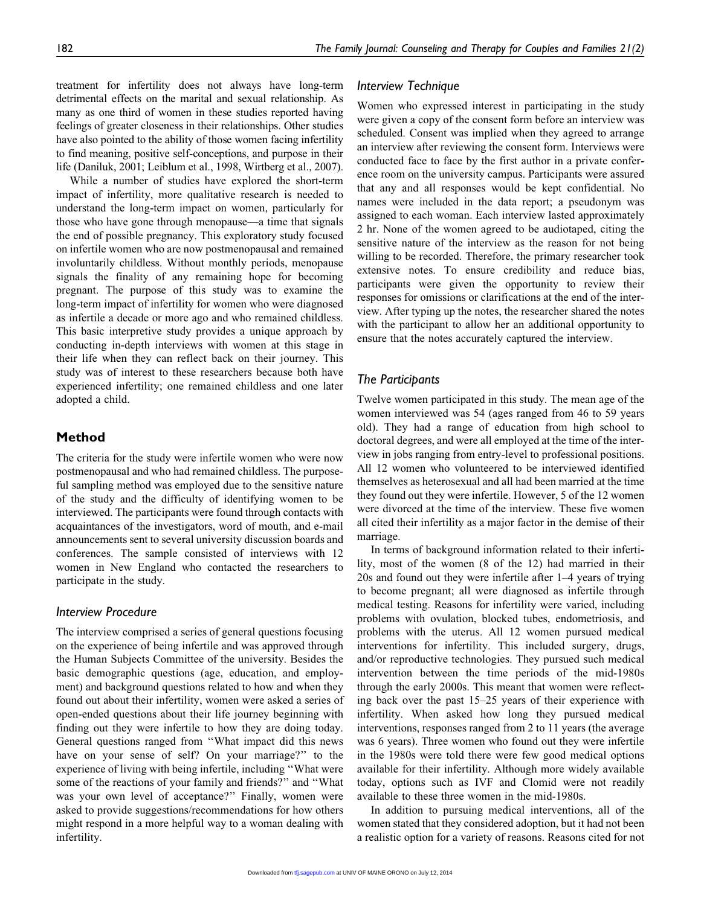treatment for infertility does not always have long-term detrimental effects on the marital and sexual relationship. As many as one third of women in these studies reported having feelings of greater closeness in their relationships. Other studies have also pointed to the ability of those women facing infertility to find meaning, positive self-conceptions, and purpose in their life (Daniluk, 2001; Leiblum et al., 1998, Wirtberg et al., 2007).

While a number of studies have explored the short-term impact of infertility, more qualitative research is needed to understand the long-term impact on women, particularly for those who have gone through menopause—a time that signals the end of possible pregnancy. This exploratory study focused on infertile women who are now postmenopausal and remained involuntarily childless. Without monthly periods, menopause signals the finality of any remaining hope for becoming pregnant. The purpose of this study was to examine the long-term impact of infertility for women who were diagnosed as infertile a decade or more ago and who remained childless. This basic interpretive study provides a unique approach by conducting in-depth interviews with women at this stage in their life when they can reflect back on their journey. This study was of interest to these researchers because both have experienced infertility; one remained childless and one later adopted a child.

# Method

The criteria for the study were infertile women who were now postmenopausal and who had remained childless. The purposeful sampling method was employed due to the sensitive nature of the study and the difficulty of identifying women to be interviewed. The participants were found through contacts with acquaintances of the investigators, word of mouth, and e-mail announcements sent to several university discussion boards and conferences. The sample consisted of interviews with 12 women in New England who contacted the researchers to participate in the study.

# Interview Procedure

The interview comprised a series of general questions focusing on the experience of being infertile and was approved through the Human Subjects Committee of the university. Besides the basic demographic questions (age, education, and employment) and background questions related to how and when they found out about their infertility, women were asked a series of open-ended questions about their life journey beginning with finding out they were infertile to how they are doing today. General questions ranged from ''What impact did this news have on your sense of self? On your marriage?'' to the experience of living with being infertile, including ''What were some of the reactions of your family and friends?'' and ''What was your own level of acceptance?'' Finally, women were asked to provide suggestions/recommendations for how others might respond in a more helpful way to a woman dealing with infertility.

#### Interview Technique

Women who expressed interest in participating in the study were given a copy of the consent form before an interview was scheduled. Consent was implied when they agreed to arrange an interview after reviewing the consent form. Interviews were conducted face to face by the first author in a private conference room on the university campus. Participants were assured that any and all responses would be kept confidential. No names were included in the data report; a pseudonym was assigned to each woman. Each interview lasted approximately 2 hr. None of the women agreed to be audiotaped, citing the sensitive nature of the interview as the reason for not being willing to be recorded. Therefore, the primary researcher took extensive notes. To ensure credibility and reduce bias, participants were given the opportunity to review their responses for omissions or clarifications at the end of the interview. After typing up the notes, the researcher shared the notes with the participant to allow her an additional opportunity to ensure that the notes accurately captured the interview.

#### The Participants

Twelve women participated in this study. The mean age of the women interviewed was 54 (ages ranged from 46 to 59 years old). They had a range of education from high school to doctoral degrees, and were all employed at the time of the interview in jobs ranging from entry-level to professional positions. All 12 women who volunteered to be interviewed identified themselves as heterosexual and all had been married at the time they found out they were infertile. However, 5 of the 12 women were divorced at the time of the interview. These five women all cited their infertility as a major factor in the demise of their marriage.

In terms of background information related to their infertility, most of the women (8 of the 12) had married in their 20s and found out they were infertile after 1–4 years of trying to become pregnant; all were diagnosed as infertile through medical testing. Reasons for infertility were varied, including problems with ovulation, blocked tubes, endometriosis, and problems with the uterus. All 12 women pursued medical interventions for infertility. This included surgery, drugs, and/or reproductive technologies. They pursued such medical intervention between the time periods of the mid-1980s through the early 2000s. This meant that women were reflecting back over the past 15–25 years of their experience with infertility. When asked how long they pursued medical interventions, responses ranged from 2 to 11 years (the average was 6 years). Three women who found out they were infertile in the 1980s were told there were few good medical options available for their infertility. Although more widely available today, options such as IVF and Clomid were not readily available to these three women in the mid-1980s.

In addition to pursuing medical interventions, all of the women stated that they considered adoption, but it had not been a realistic option for a variety of reasons. Reasons cited for not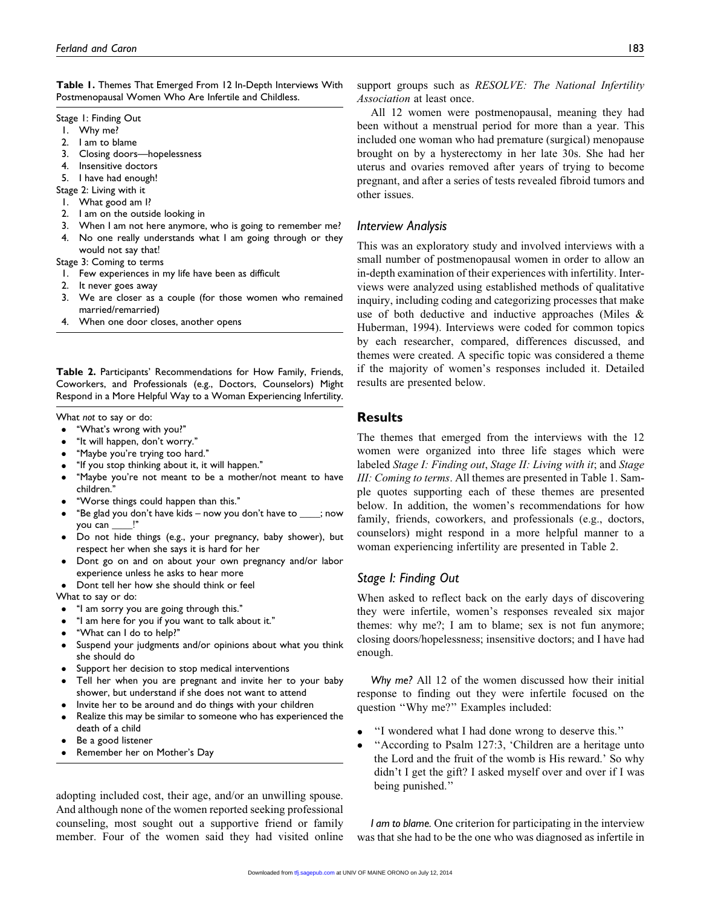Table 1. Themes That Emerged From 12 In-Depth Interviews With Postmenopausal Women Who Are Infertile and Childless.

Stage 1: Finding Out

- 1. Why me?
- 2. I am to blame
- 3. Closing doors—hopelessness
- 4. Insensitive doctors
- 5. I have had enough!

Stage 2: Living with it

- 1. What good am I?
- 2. I am on the outside looking in
- 3. When I am not here anymore, who is going to remember me?
- 4. No one really understands what I am going through or they would not say that!

Stage 3: Coming to terms

- 1. Few experiences in my life have been as difficult
- 2. It never goes away
- 3. We are closer as a couple (for those women who remained married/remarried)
- 4. When one door closes, another opens

Table 2. Participants' Recommendations for How Family, Friends, Coworkers, and Professionals (e.g., Doctors, Counselors) Might Respond in a More Helpful Way to a Woman Experiencing Infertility.

What not to say or do:

- $\bullet$ ''What's wrong with you?''
- $\bullet$ ''It will happen, don't worry.''
- -''Maybe you're trying too hard.''
- $\bullet$ ''If you stop thinking about it, it will happen.''
- $\bullet$ "Maybe you're not meant to be a mother/not meant to have children.''
- $\bullet$ ''Worse things could happen than this.''
- $\bullet$ "Be glad you don't have kids – now you don't have to  $\qquad$ ; now you can
- $\bullet$  Do not hide things (e.g., your pregnancy, baby shower), but respect her when she says it is hard for her
- $\bullet$  Dont go on and on about your own pregnancy and/or labor experience unless he asks to hear more

 $\bullet$ Dont tell her how she should think or feel

What to say or do:

- $\bullet$ ''I am sorry you are going through this.''
- $\bullet$ ''I am here for you if you want to talk about it.''
- $\bullet$ ''What can I do to help?''
- $\bullet$  Suspend your judgments and/or opinions about what you think she should do
- $\bullet$ Support her decision to stop medical interventions
- $\bullet$  Tell her when you are pregnant and invite her to your baby shower, but understand if she does not want to attend
- $\bullet$ Invite her to be around and do things with your children
- $\bullet$  Realize this may be similar to someone who has experienced the death of a child
- $\bullet$ Be a good listener
- $\bullet$ Remember her on Mother's Day

adopting included cost, their age, and/or an unwilling spouse. And although none of the women reported seeking professional counseling, most sought out a supportive friend or family member. Four of the women said they had visited online

support groups such as *RESOLVE*: The National Infertility Association at least once.

All 12 women were postmenopausal, meaning they had been without a menstrual period for more than a year. This included one woman who had premature (surgical) menopause brought on by a hysterectomy in her late 30s. She had her uterus and ovaries removed after years of trying to become pregnant, and after a series of tests revealed fibroid tumors and other issues.

#### Interview Analysis

This was an exploratory study and involved interviews with a small number of postmenopausal women in order to allow an in-depth examination of their experiences with infertility. Interviews were analyzed using established methods of qualitative inquiry, including coding and categorizing processes that make use of both deductive and inductive approaches (Miles & Huberman, 1994). Interviews were coded for common topics by each researcher, compared, differences discussed, and themes were created. A specific topic was considered a theme if the majority of women's responses included it. Detailed results are presented below.

#### **Results**

The themes that emerged from the interviews with the 12 women were organized into three life stages which were labeled Stage I: Finding out, Stage II: Living with it; and Stage III: Coming to terms. All themes are presented in Table 1. Sample quotes supporting each of these themes are presented below. In addition, the women's recommendations for how family, friends, coworkers, and professionals (e.g., doctors, counselors) might respond in a more helpful manner to a woman experiencing infertility are presented in Table 2.

# Stage I: Finding Out

When asked to reflect back on the early days of discovering they were infertile, women's responses revealed six major themes: why me?; I am to blame; sex is not fun anymore; closing doors/hopelessness; insensitive doctors; and I have had enough.

Why me? All 12 of the women discussed how their initial response to finding out they were infertile focused on the question ''Why me?'' Examples included:

- $\bullet$ ''I wondered what I had done wrong to deserve this.''
- $\bullet$  ''According to Psalm 127:3, 'Children are a heritage unto the Lord and the fruit of the womb is His reward.' So why didn't I get the gift? I asked myself over and over if I was being punished.''

I am to blame. One criterion for participating in the interview was that she had to be the one who was diagnosed as infertile in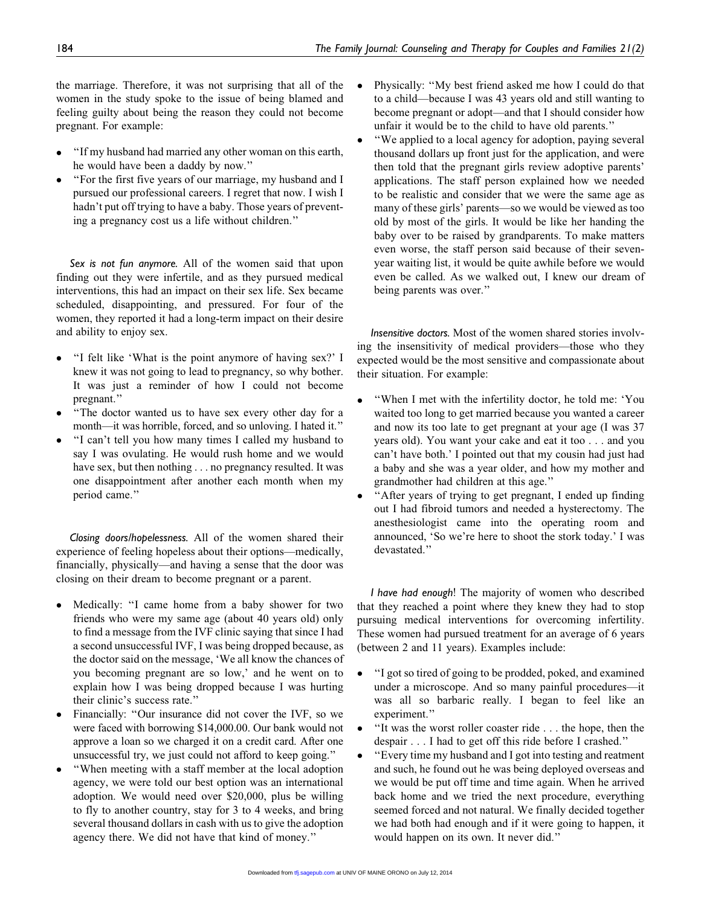the marriage. Therefore, it was not surprising that all of the women in the study spoke to the issue of being blamed and feeling guilty about being the reason they could not become pregnant. For example:

- $\bullet$  ''If my husband had married any other woman on this earth, he would have been a daddy by now.''
- $\bullet$  ''For the first five years of our marriage, my husband and I pursued our professional careers. I regret that now. I wish I hadn't put off trying to have a baby. Those years of preventing a pregnancy cost us a life without children.''

Sex is not fun anymore. All of the women said that upon finding out they were infertile, and as they pursued medical interventions, this had an impact on their sex life. Sex became scheduled, disappointing, and pressured. For four of the women, they reported it had a long-term impact on their desire and ability to enjoy sex.

- $\bullet$  ''I felt like 'What is the point anymore of having sex?' I knew it was not going to lead to pregnancy, so why bother. It was just a reminder of how I could not become pregnant.''
- $\bullet$  ''The doctor wanted us to have sex every other day for a month—it was horrible, forced, and so unloving. I hated it.''
- $\bullet$  ''I can't tell you how many times I called my husband to say I was ovulating. He would rush home and we would have sex, but then nothing . . . no pregnancy resulted. It was one disappointment after another each month when my period came.''

Closing doors/hopelessness. All of the women shared their experience of feeling hopeless about their options—medically, financially, physically—and having a sense that the door was closing on their dream to become pregnant or a parent.

- $\bullet$  Medically: ''I came home from a baby shower for two friends who were my same age (about 40 years old) only to find a message from the IVF clinic saying that since I had a second unsuccessful IVF, I was being dropped because, as the doctor said on the message, 'We all know the chances of you becoming pregnant are so low,' and he went on to explain how I was being dropped because I was hurting their clinic's success rate.''
- $\bullet$  Financially: ''Our insurance did not cover the IVF, so we were faced with borrowing \$14,000.00. Our bank would not approve a loan so we charged it on a credit card. After one unsuccessful try, we just could not afford to keep going.''
- $\bullet$  ''When meeting with a staff member at the local adoption agency, we were told our best option was an international adoption. We would need over \$20,000, plus be willing to fly to another country, stay for 3 to 4 weeks, and bring several thousand dollars in cash with us to give the adoption agency there. We did not have that kind of money.''
- $\bullet$  Physically: ''My best friend asked me how I could do that to a child—because I was 43 years old and still wanting to become pregnant or adopt—and that I should consider how unfair it would be to the child to have old parents.''
- $\bullet$  ''We applied to a local agency for adoption, paying several thousand dollars up front just for the application, and were then told that the pregnant girls review adoptive parents' applications. The staff person explained how we needed to be realistic and consider that we were the same age as many of these girls' parents—so we would be viewed as too old by most of the girls. It would be like her handing the baby over to be raised by grandparents. To make matters even worse, the staff person said because of their sevenyear waiting list, it would be quite awhile before we would even be called. As we walked out, I knew our dream of being parents was over.''

Insensitive doctors. Most of the women shared stories involving the insensitivity of medical providers—those who they expected would be the most sensitive and compassionate about their situation. For example:

- $\bullet$  ''When I met with the infertility doctor, he told me: 'You waited too long to get married because you wanted a career and now its too late to get pregnant at your age (I was 37 years old). You want your cake and eat it too . . . and you can't have both.' I pointed out that my cousin had just had a baby and she was a year older, and how my mother and grandmother had children at this age.''
- $\bullet$  ''After years of trying to get pregnant, I ended up finding out I had fibroid tumors and needed a hysterectomy. The anesthesiologist came into the operating room and announced, 'So we're here to shoot the stork today.' I was devastated.''

I have had enough! The majority of women who described that they reached a point where they knew they had to stop pursuing medical interventions for overcoming infertility. These women had pursued treatment for an average of 6 years (between 2 and 11 years). Examples include:

- $\bullet$  ''I got so tired of going to be prodded, poked, and examined under a microscope. And so many painful procedures—it was all so barbaric really. I began to feel like an experiment.''
- $\bullet$  ''It was the worst roller coaster ride . . . the hope, then the despair . . . I had to get off this ride before I crashed.''
- $\bullet$  ''Every time my husband and I got into testing and reatment and such, he found out he was being deployed overseas and we would be put off time and time again. When he arrived back home and we tried the next procedure, everything seemed forced and not natural. We finally decided together we had both had enough and if it were going to happen, it would happen on its own. It never did.''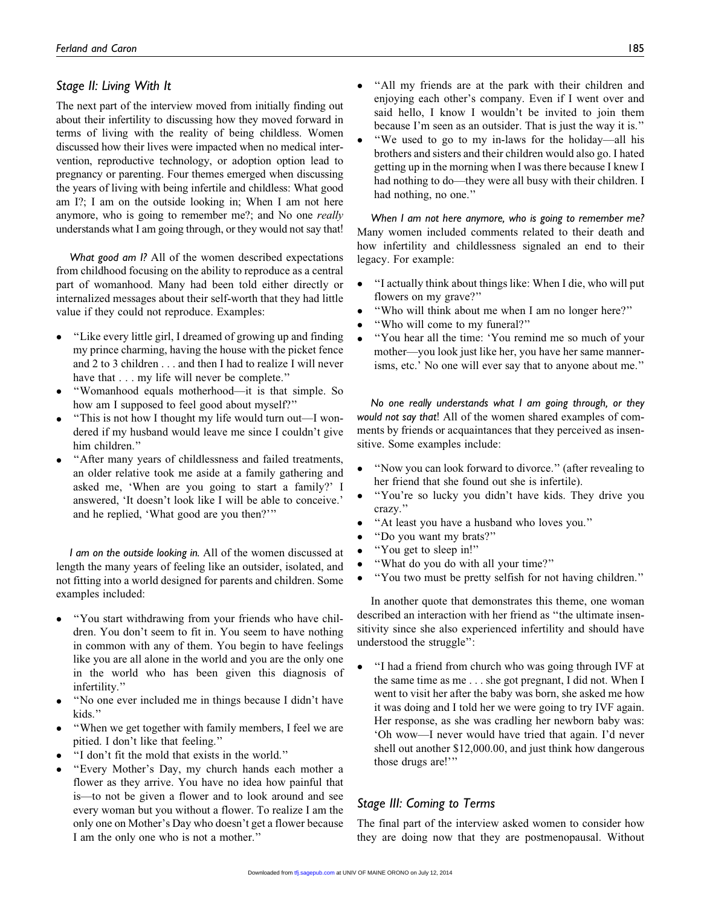# Stage II: Living With It

The next part of the interview moved from initially finding out about their infertility to discussing how they moved forward in terms of living with the reality of being childless. Women discussed how their lives were impacted when no medical intervention, reproductive technology, or adoption option lead to pregnancy or parenting. Four themes emerged when discussing the years of living with being infertile and childless: What good am I?; I am on the outside looking in; When I am not here anymore, who is going to remember me?; and No one *really* understands what I am going through, or they would not say that!

What good am I? All of the women described expectations from childhood focusing on the ability to reproduce as a central part of womanhood. Many had been told either directly or internalized messages about their self-worth that they had little value if they could not reproduce. Examples:

- $\bullet$  ''Like every little girl, I dreamed of growing up and finding my prince charming, having the house with the picket fence and 2 to 3 children . . . and then I had to realize I will never have that . . . my life will never be complete."
- $\bullet$  ''Womanhood equals motherhood—it is that simple. So how am I supposed to feel good about myself?''
- $\bullet$  ''This is not how I thought my life would turn out—I wondered if my husband would leave me since I couldn't give him children.''
- $\bullet$  ''After many years of childlessness and failed treatments, an older relative took me aside at a family gathering and asked me, 'When are you going to start a family?' I answered, 'It doesn't look like I will be able to conceive.' and he replied, 'What good are you then?'''

I am on the outside looking in. All of the women discussed at length the many years of feeling like an outsider, isolated, and not fitting into a world designed for parents and children. Some examples included:

- $\bullet$  ''You start withdrawing from your friends who have children. You don't seem to fit in. You seem to have nothing in common with any of them. You begin to have feelings like you are all alone in the world and you are the only one in the world who has been given this diagnosis of infertility.''
- $\bullet$  ''No one ever included me in things because I didn't have kids.''
- $\bullet$  ''When we get together with family members, I feel we are pitied. I don't like that feeling.''
- $\bullet$ ''I don't fit the mold that exists in the world.''
- $\bullet$  ''Every Mother's Day, my church hands each mother a flower as they arrive. You have no idea how painful that is—to not be given a flower and to look around and see every woman but you without a flower. To realize I am the only one on Mother's Day who doesn't get a flower because I am the only one who is not a mother.''
- $\bullet$  ''All my friends are at the park with their children and enjoying each other's company. Even if I went over and said hello, I know I wouldn't be invited to join them because I'm seen as an outsider. That is just the way it is.''
- $\bullet$  ''We used to go to my in-laws for the holiday—all his brothers and sisters and their children would also go. I hated getting up in the morning when I was there because I knew I had nothing to do—they were all busy with their children. I had nothing, no one.''

When I am not here anymore, who is going to remember me? Many women included comments related to their death and how infertility and childlessness signaled an end to their legacy. For example:

- $\bullet$  ''I actually think about things like: When I die, who will put flowers on my grave?''
- $\bullet$ ''Who will think about me when I am no longer here?''
- $\bullet$ ''Who will come to my funeral?''
- $\bullet$  ''You hear all the time: 'You remind me so much of your mother—you look just like her, you have her same mannerisms, etc.' No one will ever say that to anyone about me.''

No one really understands what I am going through, or they would not say that! All of the women shared examples of comments by friends or acquaintances that they perceived as insensitive. Some examples include:

- $\bullet$  ''Now you can look forward to divorce.'' (after revealing to her friend that she found out she is infertile).
- $\bullet$  ''You're so lucky you didn't have kids. They drive you crazy.''
- $\bullet$ ''At least you have a husband who loves you.''
- $\bullet$ ''Do you want my brats?''
- $\bullet$ ''You get to sleep in!''
- $\bullet$ ''What do you do with all your time?''
- $\bullet$ ''You two must be pretty selfish for not having children.''

In another quote that demonstrates this theme, one woman described an interaction with her friend as ''the ultimate insensitivity since she also experienced infertility and should have understood the struggle'':

 $\bullet$  ''I had a friend from church who was going through IVF at the same time as me . . . she got pregnant, I did not. When I went to visit her after the baby was born, she asked me how it was doing and I told her we were going to try IVF again. Her response, as she was cradling her newborn baby was: 'Oh wow—I never would have tried that again. I'd never shell out another \$12,000.00, and just think how dangerous those drugs are!'''

# Stage III: Coming to Terms

The final part of the interview asked women to consider how they are doing now that they are postmenopausal. Without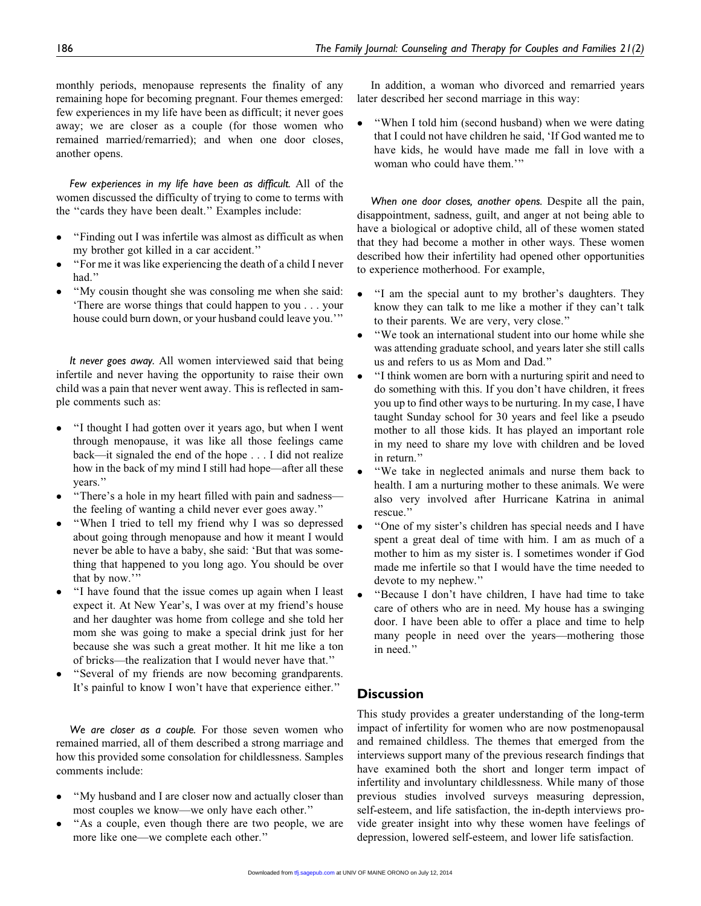monthly periods, menopause represents the finality of any remaining hope for becoming pregnant. Four themes emerged: few experiences in my life have been as difficult; it never goes away; we are closer as a couple (for those women who remained married/remarried); and when one door closes, another opens.

Few experiences in my life have been as difficult. All of the women discussed the difficulty of trying to come to terms with the ''cards they have been dealt.'' Examples include:

- $\bullet$  ''Finding out I was infertile was almost as difficult as when my brother got killed in a car accident.''
- $\bullet$  ''For me it was like experiencing the death of a child I never had.''
- $\bullet$  ''My cousin thought she was consoling me when she said: 'There are worse things that could happen to you . . . your house could burn down, or your husband could leave you.'''

It never goes away. All women interviewed said that being infertile and never having the opportunity to raise their own child was a pain that never went away. This is reflected in sample comments such as:

- $\bullet$  ''I thought I had gotten over it years ago, but when I went through menopause, it was like all those feelings came back—it signaled the end of the hope . . . I did not realize how in the back of my mind I still had hope—after all these years.''
- $\bullet$  ''There's a hole in my heart filled with pain and sadness the feeling of wanting a child never ever goes away.''
- $\bullet$  ''When I tried to tell my friend why I was so depressed about going through menopause and how it meant I would never be able to have a baby, she said: 'But that was something that happened to you long ago. You should be over that by now.'''
- $\bullet$  ''I have found that the issue comes up again when I least expect it. At New Year's, I was over at my friend's house and her daughter was home from college and she told her mom she was going to make a special drink just for her because she was such a great mother. It hit me like a ton of bricks—the realization that I would never have that.''
- $\bullet$  ''Several of my friends are now becoming grandparents. It's painful to know I won't have that experience either.''

We are closer as a couple. For those seven women who remained married, all of them described a strong marriage and how this provided some consolation for childlessness. Samples comments include:

- $\bullet$  ''My husband and I are closer now and actually closer than most couples we know—we only have each other.''
- $\bullet$  ''As a couple, even though there are two people, we are more like one—we complete each other.''

In addition, a woman who divorced and remarried years later described her second marriage in this way:

 $\bullet$  ''When I told him (second husband) when we were dating that I could not have children he said, 'If God wanted me to have kids, he would have made me fall in love with a woman who could have them.'''

When one door closes, another opens. Despite all the pain, disappointment, sadness, guilt, and anger at not being able to have a biological or adoptive child, all of these women stated that they had become a mother in other ways. These women described how their infertility had opened other opportunities to experience motherhood. For example,

- $\bullet$  ''I am the special aunt to my brother's daughters. They know they can talk to me like a mother if they can't talk to their parents. We are very, very close.''
- $\bullet$  ''We took an international student into our home while she was attending graduate school, and years later she still calls us and refers to us as Mom and Dad.''
- $\bullet$  ''I think women are born with a nurturing spirit and need to do something with this. If you don't have children, it frees you up to find other ways to be nurturing. In my case, I have taught Sunday school for 30 years and feel like a pseudo mother to all those kids. It has played an important role in my need to share my love with children and be loved in return.''
- $\bullet$  ''We take in neglected animals and nurse them back to health. I am a nurturing mother to these animals. We were also very involved after Hurricane Katrina in animal rescue.''
- $\bullet$  ''One of my sister's children has special needs and I have spent a great deal of time with him. I am as much of a mother to him as my sister is. I sometimes wonder if God made me infertile so that I would have the time needed to devote to my nephew.''
- $\bullet$  ''Because I don't have children, I have had time to take care of others who are in need. My house has a swinging door. I have been able to offer a place and time to help many people in need over the years—mothering those in need.''

# **Discussion**

This study provides a greater understanding of the long-term impact of infertility for women who are now postmenopausal and remained childless. The themes that emerged from the interviews support many of the previous research findings that have examined both the short and longer term impact of infertility and involuntary childlessness. While many of those previous studies involved surveys measuring depression, self-esteem, and life satisfaction, the in-depth interviews provide greater insight into why these women have feelings of depression, lowered self-esteem, and lower life satisfaction.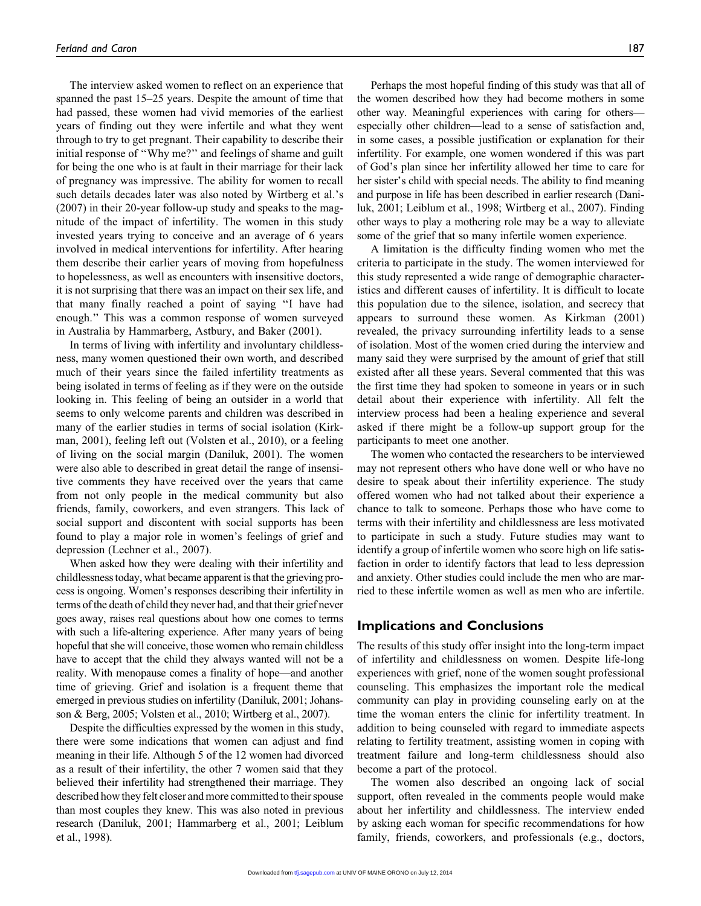The interview asked women to reflect on an experience that spanned the past 15–25 years. Despite the amount of time that had passed, these women had vivid memories of the earliest years of finding out they were infertile and what they went through to try to get pregnant. Their capability to describe their initial response of "Why me?" and feelings of shame and guilt for being the one who is at fault in their marriage for their lack of pregnancy was impressive. The ability for women to recall such details decades later was also noted by Wirtberg et al.'s (2007) in their 20-year follow-up study and speaks to the magnitude of the impact of infertility. The women in this study invested years trying to conceive and an average of 6 years involved in medical interventions for infertility. After hearing them describe their earlier years of moving from hopefulness to hopelessness, as well as encounters with insensitive doctors, it is not surprising that there was an impact on their sex life, and that many finally reached a point of saying ''I have had enough.'' This was a common response of women surveyed in Australia by Hammarberg, Astbury, and Baker (2001).

In terms of living with infertility and involuntary childlessness, many women questioned their own worth, and described much of their years since the failed infertility treatments as being isolated in terms of feeling as if they were on the outside looking in. This feeling of being an outsider in a world that seems to only welcome parents and children was described in many of the earlier studies in terms of social isolation (Kirkman, 2001), feeling left out (Volsten et al., 2010), or a feeling of living on the social margin (Daniluk, 2001). The women were also able to described in great detail the range of insensitive comments they have received over the years that came from not only people in the medical community but also friends, family, coworkers, and even strangers. This lack of social support and discontent with social supports has been found to play a major role in women's feelings of grief and depression (Lechner et al., 2007).

When asked how they were dealing with their infertility and childlessness today, what became apparent is that the grieving process is ongoing. Women's responses describing their infertility in terms of the death of child they never had, and that their grief never goes away, raises real questions about how one comes to terms with such a life-altering experience. After many years of being hopeful that she will conceive, those women who remain childless have to accept that the child they always wanted will not be a reality. With menopause comes a finality of hope—and another time of grieving. Grief and isolation is a frequent theme that emerged in previous studies on infertility (Daniluk, 2001; Johansson & Berg, 2005; Volsten et al., 2010; Wirtberg et al., 2007).

Despite the difficulties expressed by the women in this study, there were some indications that women can adjust and find meaning in their life. Although 5 of the 12 women had divorced as a result of their infertility, the other 7 women said that they believed their infertility had strengthened their marriage. They described how they felt closer and more committed to their spouse than most couples they knew. This was also noted in previous research (Daniluk, 2001; Hammarberg et al., 2001; Leiblum et al., 1998).

Perhaps the most hopeful finding of this study was that all of the women described how they had become mothers in some other way. Meaningful experiences with caring for others especially other children—lead to a sense of satisfaction and, in some cases, a possible justification or explanation for their infertility. For example, one women wondered if this was part of God's plan since her infertility allowed her time to care for her sister's child with special needs. The ability to find meaning and purpose in life has been described in earlier research (Daniluk, 2001; Leiblum et al., 1998; Wirtberg et al., 2007). Finding other ways to play a mothering role may be a way to alleviate some of the grief that so many infertile women experience.

A limitation is the difficulty finding women who met the criteria to participate in the study. The women interviewed for this study represented a wide range of demographic characteristics and different causes of infertility. It is difficult to locate this population due to the silence, isolation, and secrecy that appears to surround these women. As Kirkman (2001) revealed, the privacy surrounding infertility leads to a sense of isolation. Most of the women cried during the interview and many said they were surprised by the amount of grief that still existed after all these years. Several commented that this was the first time they had spoken to someone in years or in such detail about their experience with infertility. All felt the interview process had been a healing experience and several asked if there might be a follow-up support group for the participants to meet one another.

The women who contacted the researchers to be interviewed may not represent others who have done well or who have no desire to speak about their infertility experience. The study offered women who had not talked about their experience a chance to talk to someone. Perhaps those who have come to terms with their infertility and childlessness are less motivated to participate in such a study. Future studies may want to identify a group of infertile women who score high on life satisfaction in order to identify factors that lead to less depression and anxiety. Other studies could include the men who are married to these infertile women as well as men who are infertile.

# Implications and Conclusions

The results of this study offer insight into the long-term impact of infertility and childlessness on women. Despite life-long experiences with grief, none of the women sought professional counseling. This emphasizes the important role the medical community can play in providing counseling early on at the time the woman enters the clinic for infertility treatment. In addition to being counseled with regard to immediate aspects relating to fertility treatment, assisting women in coping with treatment failure and long-term childlessness should also become a part of the protocol.

The women also described an ongoing lack of social support, often revealed in the comments people would make about her infertility and childlessness. The interview ended by asking each woman for specific recommendations for how family, friends, coworkers, and professionals (e.g., doctors,